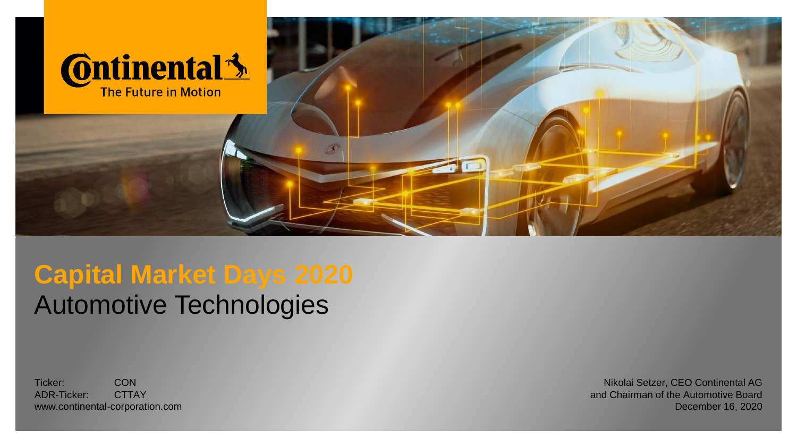

# **Capital Market Days 2020** Automotive Technologies

Ticker: CON<br>ADR-Ticker: CTTAY ADR-Ticker: www.continental-corporation.com

Nikolai Setzer, CEO Continental AG and Chairman of the Automotive Board December 16, 2020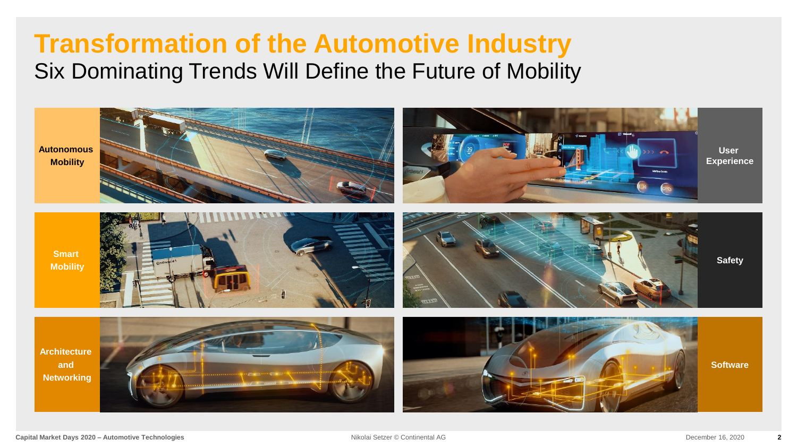## **Transformation of the Automotive Industry** Six Dominating Trends Will Define the Future of Mobility

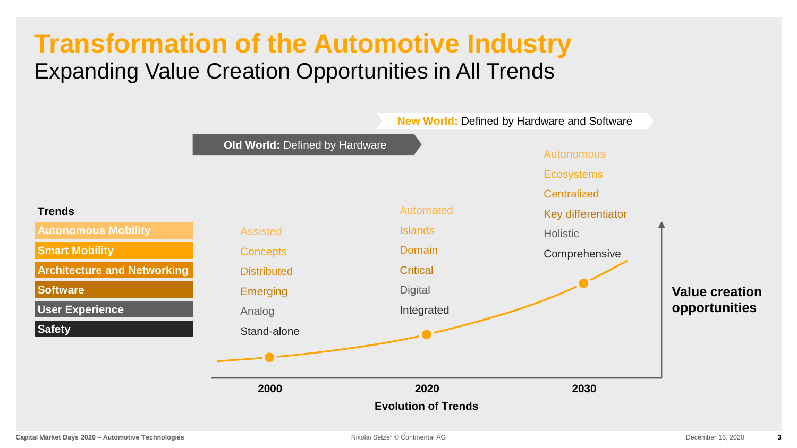# **Transformation of the Automotive Industry** Expanding Value Creation Opportunities in All Trends

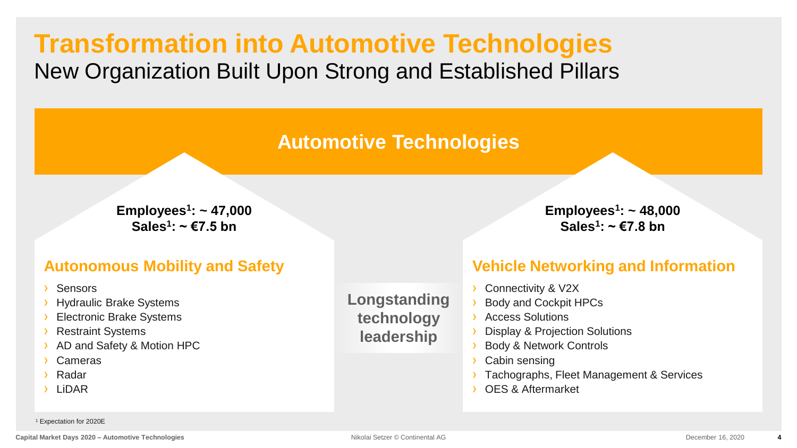### **Transformation into Automotive Technologies** New Organization Built Upon Strong and Established Pillars

### **Automotive Technologies**

**Employees<sup>1</sup> : ~ 47,000 Sales<sup>1</sup> : ~ €7.5 bn**

### **Autonomous Mobility and Safety**

- **Sensors**
- **Hydraulic Brake Systems**
- **Electronic Brake Systems**
- **Restraint Systems**
- AD and Safety & Motion HPC
- **Cameras**
- **Radar**
- **LiDAR**

**Longstanding technology leadership**

**Employees<sup>1</sup> : ~ 48,000 Sales<sup>1</sup> : ~ €7.8 bn**

### **Vehicle Networking and Information**

- Connectivity & V2X
- Body and Cockpit HPCs
- › Access Solutions
- **Display & Projection Solutions**
- Body & Network Controls
- Cabin sensing
- Tachographs, Fleet Management & Services
- › OES & Aftermarket

<sup>1</sup> Expectation for 2020E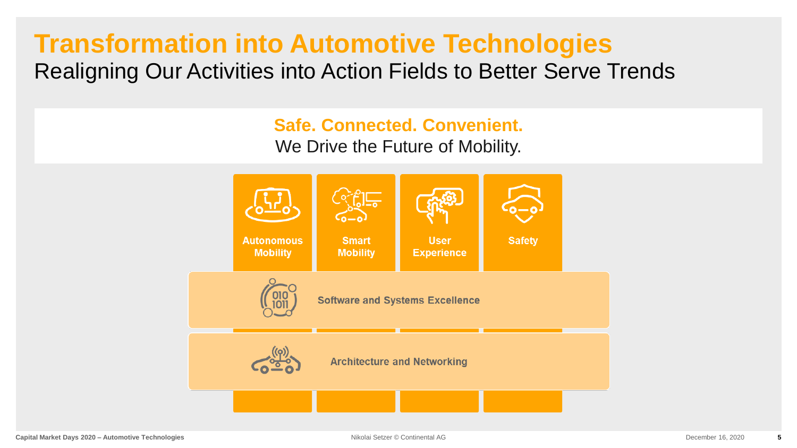## **Transformation into Automotive Technologies** Realigning Our Activities into Action Fields to Better Serve Trends

**Safe. Connected. Convenient.** We Drive the Future of Mobility.

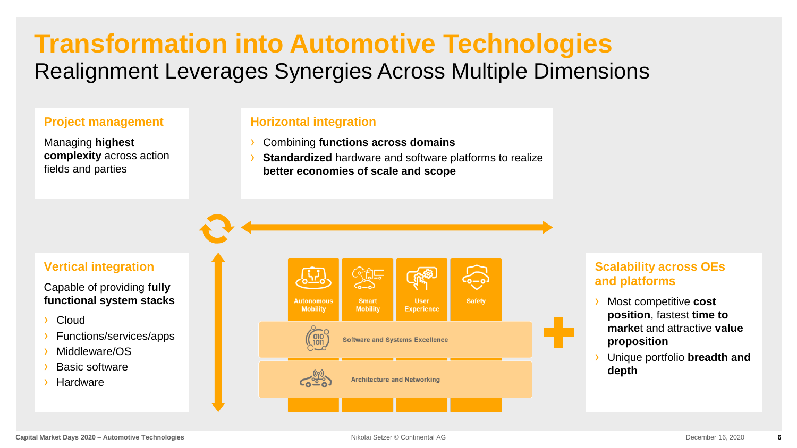# **Transformation into Automotive Technologies** Realignment Leverages Synergies Across Multiple Dimensions

#### **Project management**

Managing **highest complexity** across action fields and parties

#### **Horizontal integration**

- › Combining **functions across domains**
- **Standardized** hardware and software platforms to realize **better economies of scale and scope**

#### **Vertical integration**

Capable of providing **fully functional system stacks**

- **Cloud**
- › Functions/services/apps
- Middleware/OS
- **Basic software**
- **Hardware**



### **Scalability across OEs and platforms**

- › Most competitive **cost position**, fastest **time to marke**t and attractive **value proposition**
- › Unique portfolio **breadth and depth**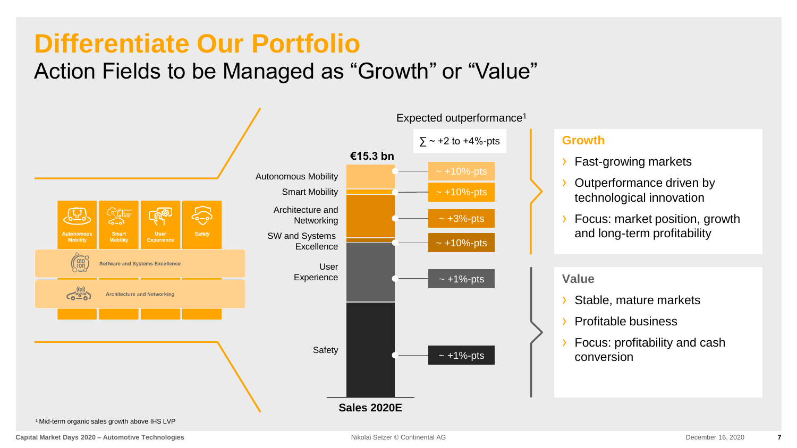# **Differentiate Our Portfolio**

### Action Fields to be Managed as "Growth" or "Value"



### **Growth**

- **Fast-growing markets**
- Outperformance driven by technological innovation
- Focus: market position, growth and long-term profitability

#### **Value**

- Stable, mature markets
- › Profitable business
- Focus: profitability and cash conversion

<sup>1</sup> Mid-term organic sales growth above IHS LVP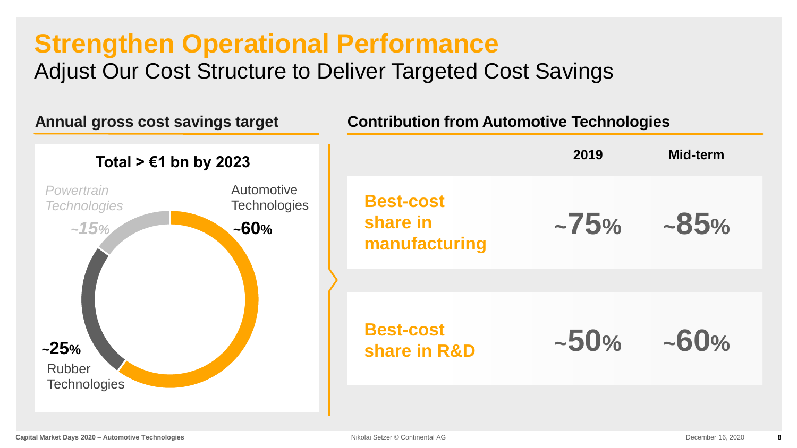# **Strengthen Operational Performance** Adjust Our Cost Structure to Deliver Targeted Cost Savings

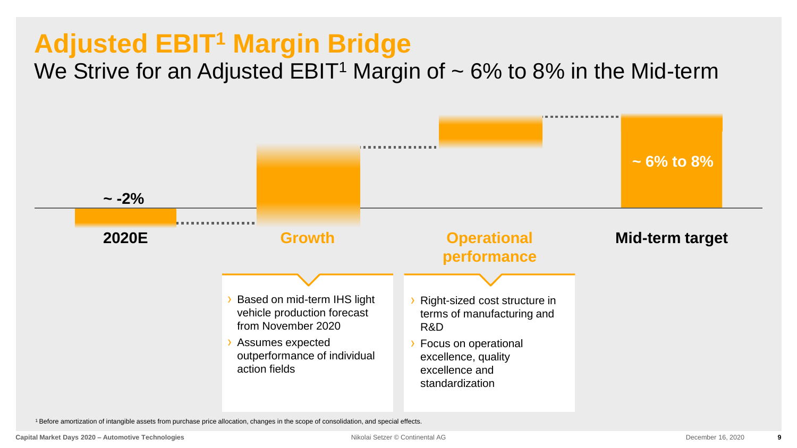# **Adjusted EBIT<sup>1</sup> Margin Bridge**

We Strive for an Adjusted EBIT<sup>1</sup> Margin of  $\sim 6\%$  to 8% in the Mid-term



<sup>1</sup>Before amortization of intangible assets from purchase price allocation, changes in the scope of consolidation, and special effects.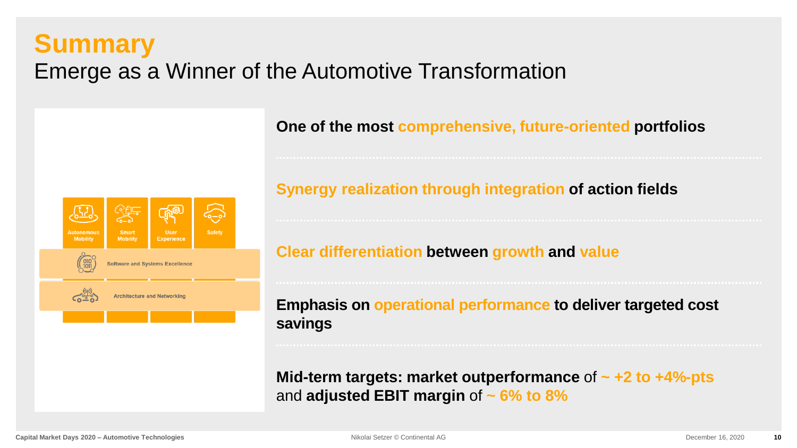# **Summary** Emerge as a Winner of the Automotive Transformation



### **One of the most comprehensive, future-oriented portfolios**

### **Synergy realization through integration of action fields**

### **Clear differentiation between growth and value**

**Emphasis on operational performance to deliver targeted cost savings**

**Mid-term targets: market outperformance** of **~ +2 to +4%-pts** and **adjusted EBIT margin** of **~ 6% to 8%**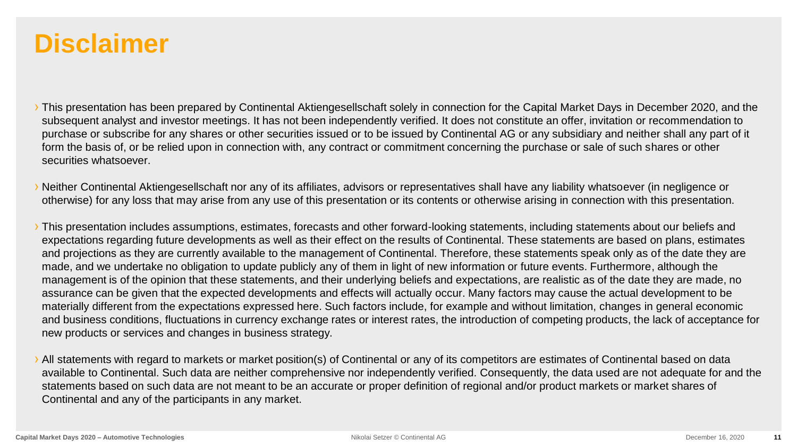# **Disclaimer**

- › This presentation has been prepared by Continental Aktiengesellschaft solely in connection for the Capital Market Days in December 2020, and the subsequent analyst and investor meetings. It has not been independently verified. It does not constitute an offer, invitation or recommendation to purchase or subscribe for any shares or other securities issued or to be issued by Continental AG or any subsidiary and neither shall any part of it form the basis of, or be relied upon in connection with, any contract or commitment concerning the purchase or sale of such shares or other securities whatsoever.
- › Neither Continental Aktiengesellschaft nor any of its affiliates, advisors or representatives shall have any liability whatsoever (in negligence or otherwise) for any loss that may arise from any use of this presentation or its contents or otherwise arising in connection with this presentation.
- › This presentation includes assumptions, estimates, forecasts and other forward-looking statements, including statements about our beliefs and expectations regarding future developments as well as their effect on the results of Continental. These statements are based on plans, estimates and projections as they are currently available to the management of Continental. Therefore, these statements speak only as of the date they are made, and we undertake no obligation to update publicly any of them in light of new information or future events. Furthermore, although the management is of the opinion that these statements, and their underlying beliefs and expectations, are realistic as of the date they are made, no assurance can be given that the expected developments and effects will actually occur. Many factors may cause the actual development to be materially different from the expectations expressed here. Such factors include, for example and without limitation, changes in general economic and business conditions, fluctuations in currency exchange rates or interest rates, the introduction of competing products, the lack of acceptance for new products or services and changes in business strategy.
- › All statements with regard to markets or market position(s) of Continental or any of its competitors are estimates of Continental based on data available to Continental. Such data are neither comprehensive nor independently verified. Consequently, the data used are not adequate for and the statements based on such data are not meant to be an accurate or proper definition of regional and/or product markets or market shares of Continental and any of the participants in any market.